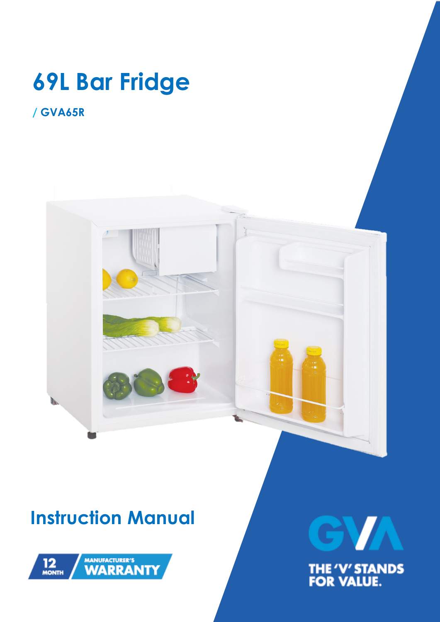# **69L Bar Fridge**

### **/ GVA65R**



## **Instruction Manual**



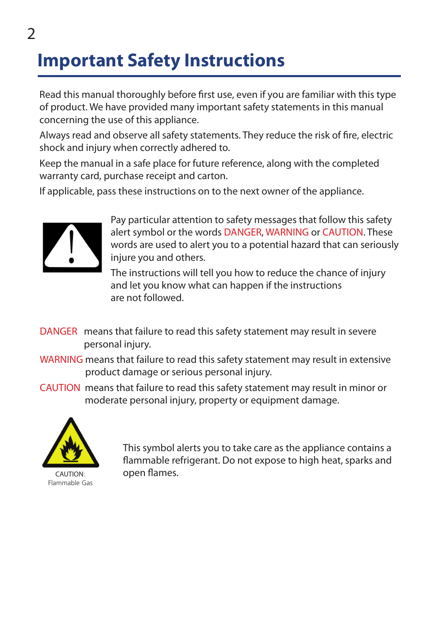### **Important Safety Instructions**

Read this manual thoroughly before first use, even if you are familiar with this type of product. We have provided many important safety statements in this manual concerning the use of this appliance.

Always read and observe all safety statements. They reduce the risk of fire, electric shock and injury when correctly adhered to.

Keep the manual in a safe place for future reference, along with the completed warranty card, purchase receipt and carton.

If applicable, pass these instructions on to the next owner of the appliance.



Pay particular attention to safety messages that follow this safety alert symbol or the words DANGER, WARNING or CAUTION. These words are used to alert you to a potential hazard that can seriously injure you and others.

The instructions will tell you how to reduce the chance of injury and let you know what can happen if the instructions are not followed.

- DANGER means that failure to read this safety statement may result in severe personal injury.
- WARNING means that failure to read this safety statement may result in extensive product damage or serious personal injury.
- CAUTION means that failure to read this safety statement may result in minor or moderate personal injury, property or equipment damage.



CAUTION: Flammable Gas

This symbol alerts you to take care as the appliance contains a flammable refrigerant. Do not expose to high heat, sparks and open flames.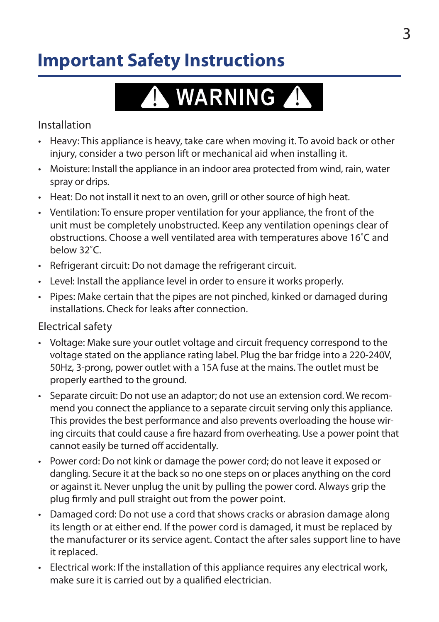### **Important Safety Instructions**

# A WARNING A

Installation

- Heavy: This appliance is heavy, take care when moving it. To avoid back or other injury, consider a two person lift or mechanical aid when installing it.
- • Moisture: Install the appliance in an indoor area protected from wind, rain, water spray or drips.
- Heat: Do not install it next to an oven, grill or other source of high heat.
- • Ventilation: To ensure proper ventilation for your appliance, the front of the unit must be completely unobstructed. Keep any ventilation openings clear of obstructions. Choose a well ventilated area with temperatures above 16˚C and below 32˚C.
- Refrigerant circuit: Do not damage the refrigerant circuit.
- • Level: Install the appliance level in order to ensure it works properly.
- • Pipes: Make certain that the pipes are not pinched, kinked or damaged during installations. Check for leaks after connection.

#### Electrical safety

- • Voltage: Make sure your outlet voltage and circuit frequency correspond to the voltage stated on the appliance rating label. Plug the bar fridge into a 220-240V, 50Hz, 3-prong, power outlet with a 15A fuse at the mains. The outlet must be properly earthed to the ground.
- Separate circuit: Do not use an adaptor: do not use an extension cord. We recommend you connect the appliance to a separate circuit serving only this appliance. This provides the best performance and also prevents overloading the house wiring circuits that could cause a fire hazard from overheating. Use a power point that cannot easily be turned off accidentally.
- Power cord: Do not kink or damage the power cord; do not leave it exposed or dangling. Secure it at the back so no one steps on or places anything on the cord or against it. Never unplug the unit by pulling the power cord. Always grip the plug firmly and pull straight out from the power point.
- Damaged cord: Do not use a cord that shows cracks or abrasion damage along its length or at either end. If the power cord is damaged, it must be replaced by the manufacturer or its service agent. Contact the after sales support line to have it replaced.
- • Electrical work: If the installation of this appliance requires any electrical work, make sure it is carried out by a qualified electrician.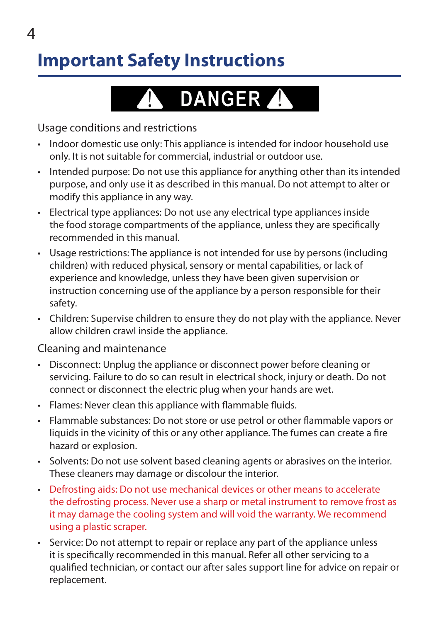### **Important Safety Instructions**



Usage conditions and restrictions

- Indoor domestic use only: This appliance is intended for indoor household use only. It is not suitable for commercial, industrial or outdoor use.
- • Intended purpose: Do not use this appliance for anything other than its intended purpose, and only use it as described in this manual. Do not attempt to alter or modify this appliance in any way.
- Electrical type appliances: Do not use any electrical type appliances inside the food storage compartments of the appliance, unless they are specifically recommended in this manual.
- • Usage restrictions: The appliance is not intended for use by persons (including children) with reduced physical, sensory or mental capabilities, or lack of experience and knowledge, unless they have been given supervision or instruction concerning use of the appliance by a person responsible for their safety.
- • Children: Supervise children to ensure they do not play with the appliance. Never allow children crawl inside the appliance.

Cleaning and maintenance

- Disconnect: Unplug the appliance or disconnect power before cleaning or servicing. Failure to do so can result in electrical shock, injury or death. Do not connect or disconnect the electric plug when your hands are wet.
- • Flames: Never clean this appliance with flammable fluids.
- • Flammable substances: Do not store or use petrol or other flammable vapors or liquids in the vicinity of this or any other appliance. The fumes can create a fire hazard or explosion.
- • Solvents: Do not use solvent based cleaning agents or abrasives on the interior. These cleaners may damage or discolour the interior.
- • Defrosting aids: Do not use mechanical devices or other means to accelerate the defrosting process. Never use a sharp or metal instrument to remove frost as it may damage the cooling system and will void the warranty. We recommend using a plastic scraper.
- Service: Do not attempt to repair or replace any part of the appliance unless it is specifically recommended in this manual. Refer all other servicing to a qualified technician, or contact our after sales support line for advice on repair or replacement.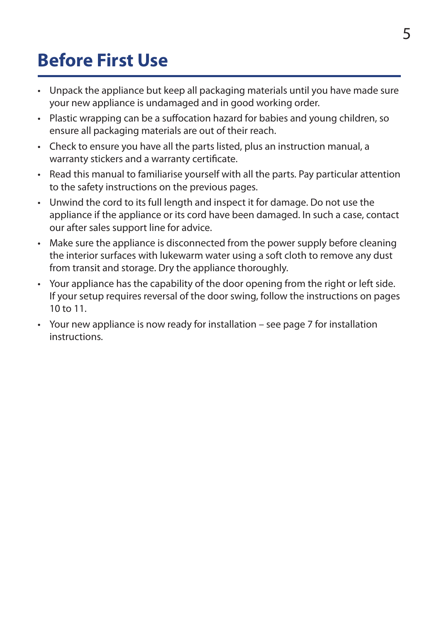### **Before First Use**

- Unpack the appliance but keep all packaging materials until you have made sure your new appliance is undamaged and in good working order.
- Plastic wrapping can be a suffocation hazard for babies and young children, so ensure all packaging materials are out of their reach.
- Check to ensure you have all the parts listed, plus an instruction manual, a warranty stickers and a warranty certificate.
- Read this manual to familiarise yourself with all the parts. Pay particular attention to the safety instructions on the previous pages.
- • Unwind the cord to its full length and inspect it for damage. Do not use the appliance if the appliance or its cord have been damaged. In such a case, contact our after sales support line for advice.
- • Make sure the appliance is disconnected from the power supply before cleaning the interior surfaces with lukewarm water using a soft cloth to remove any dust from transit and storage. Dry the appliance thoroughly.
- • Your appliance has the capability of the door opening from the right or left side. If your setup requires reversal of the door swing, follow the instructions on pages 10 to 11.
- Your new appliance is now ready for installation see page 7 for installation instructions.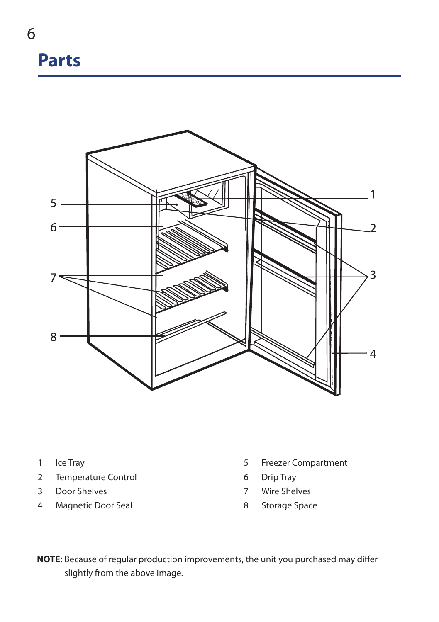### **Parts**



- Ice Tray
- Temperature Control
- Door Shelves
- Magnetic Door Seal
- Freezer Compartment
- Drip Tray
- Wire Shelves
- Storage Space

**NOTE:** Because of regular production improvements, the unit you purchased may differ slightly from the above image.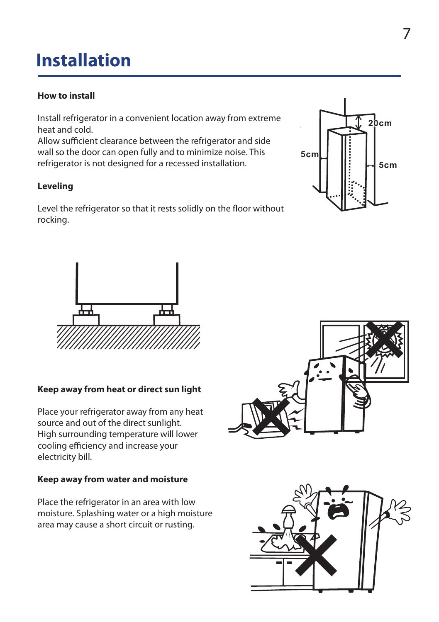#### **installation installation 1 How to Install**

#### **How to install the nearest \*\* service center. Do not try to service yourself. Install refrigerator in a**

Install refrigerator in a convenient location away from extreme heat and cold. **and out of the direct sunlight.**

**3**

Allow sufficient clearance between the refrigerator and side wall so the door can open fully and to minimize noise. This  $\begin{bmatrix} 5 \text{ cm} \end{bmatrix}$ refrigerator is not designed for a recessed installation.  $\begin{bmatrix} \begin{bmatrix} \begin{bmatrix} \end{bmatrix} & \begin{bmatrix} \vdots & \end{bmatrix} & \begin{bmatrix} \end{bmatrix} \end{bmatrix} \end{bmatrix}$ 

### **Leveling 2 Leveling 1 How to Install**

Level the refrigerator so that it rests solidly on the floor without **refluing Rightang rocking. convenient** is a contract of the contract of the contract of the contract of the contract of the contract of the contract of the contract of the contract of the contract of the contract of the contract of the contract of



**Keep away from heat or direct sun**



#### **Keep away from heat or direct sun light**

Place your refrigerator away from any heat<br>source and out of the direct sunlight. source and out of the direct sunlight. High surrounding temperature will lower cooling efficiency and increase your electricity bill.

#### **Keep away from water and moisture**

Place the refrigerator in an area with low moisture. Splashing water or a high moisture area may cause a short circuit or rusting.



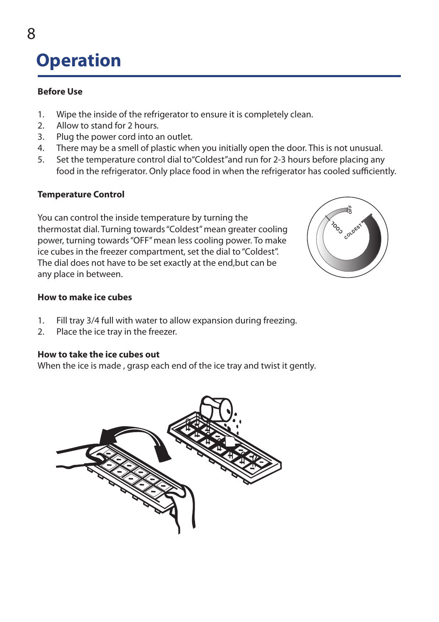#### **Operation** the thermostat dial. Turning towards "Coldest"

#### **Before Use** mean greater cooling power, turning towards power, turning towards towards towards towards towards towards towards towards towards towards towards towards towards towards towards towards towards towards towards towards tow

- 1. Wipe the inside of the refrigerator to ensure it is completely clean.<br>2. All total the dial free began
- 2. Allow to stand for 2 hours.
- 3. Plug the power cord into an outlet.
- 4. There may be a smell of plastic when you initially open the door. This is not unusual.
- 5. Set the temperature control dial to"Coldest"and run for 2-3 hours before placing any food in the refrigerator. Only place food in when the refrigerator has cooled sufficiently.

#### **Temperature Control**

You can control the inside temperature by turning the thermostat dial. Turning towards "Coldest" mean greater cooling power, turning towards "OFF" mean less cooling power. To make ice cubes in the freezer compartment, set the dial to "Coldest". The dial does not have to be set exactly at the end,but can be any place in between.



#### **How to make ice cubes**

- 1. Fill tray 3/4 full with water to allow expansion during freezing.
- 2. Place the ice tray in the freezer.

#### **How to take the ice cubes out**

When the ice is made , grasp each end of the ice tray and twist it gently.

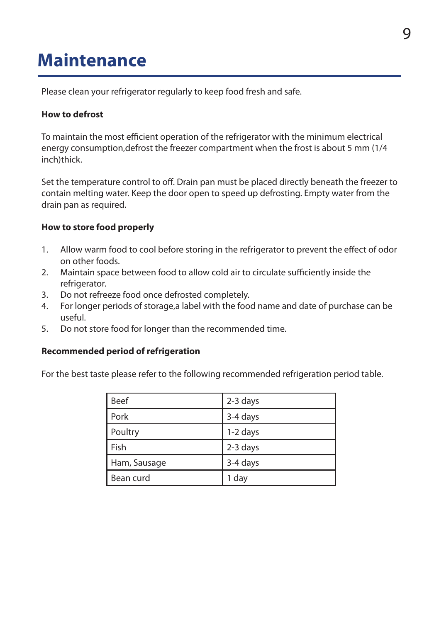### **Maintenance**

Please clean your refrigerator regularly to keep food fresh and safe.

#### **How to defrost**

To maintain the most efficient operation of the refrigerator with the minimum electrical energy consumption,defrost the freezer compartment when the frost is about 5 mm (1/4 inch)thick.

Set the temperature control to off. Drain pan must be placed directly beneath the freezer to contain melting water. Keep the door open to speed up defrosting. Empty water from the drain pan as required.

#### **How to store food properly**

- 1. Allow warm food to cool before storing in the refrigerator to prevent the effect of odor on other foods.
- 2. Maintain space between food to allow cold air to circulate sufficiently inside the refrigerator.
- 3. Do not refreeze food once defrosted completely.
- 4. For longer periods of storage,a label with the food name and date of purchase can be useful.
- 5. Do not store food for longer than the recommended time.

#### **Recommended period of refrigeration**

For the best taste please refer to the following recommended refrigeration period table.

| <b>Beef</b>  | 2-3 days |
|--------------|----------|
| Pork         | 3-4 days |
| Poultry      | 1-2 days |
| Fish         | 2-3 days |
| Ham, Sausage | 3-4 days |
| Bean curd    | 1 day    |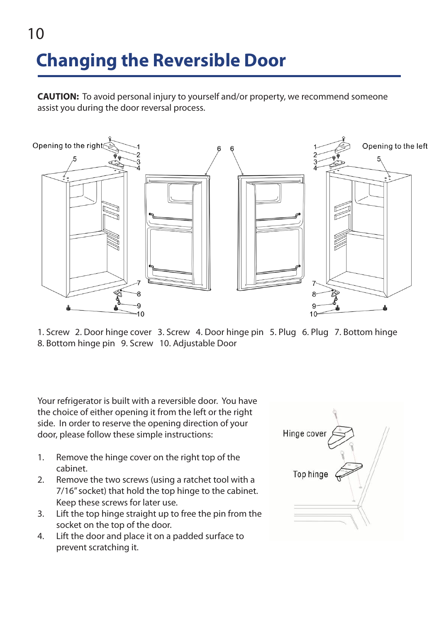# **Changing the Reversible Door**

10

**CAUTION:** To avoid personal injury to yourself and/or property, we recommend someone assist you during the door reversal process.



1. Screw 2. Door hinge cover 3. Screw 4. Door hinge pin 5. Plug 6. Plug 7. Bottom hinge 8. Bottom hinge pin 9. Screw 10. Adjustable Door

Your refrigerator is built with a reversible door. You have the choice of either opening it from the left or the right side. In order to reserve the opening direction of your door, please follow these simple instructions:

- 1. Remove the hinge cover on the right top of the cabinet.
- cabinet.<br>2. Remove the two screws (using a ratchet tool with a 7/16" socket) that hold the top hinge to the cabinet. Keep these screws for later use.
	- 3. Lift the top hinge straight up to free the pin from the socket on the top of the door. the socket on the top of the door.
- 4. Lift the door and place it on a padded surface to prevent scratching it. prevent scratching it.

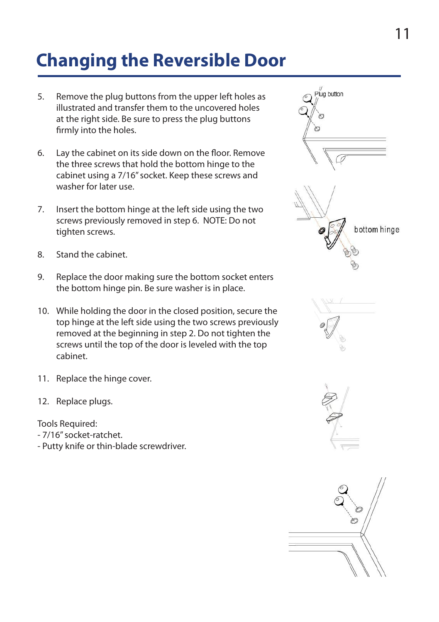### **Changing the Reversible Door**

- 5. Remove the plug buttons from the upper left holes as illustrated and transfer them to the uncovered holes at the right side. Be sure to press the plug buttons firmly into the holes.  $t_{\rm max}$  screws and washer for later use.
- 6. Lay the cabinet on its side down on the floor. Remove the three screws that hold the bottom hinge to the cabinet using a 7/16" socket. Keep these screws and washer for later use. press the plug buttons firmly into the holes. 6. Lay the cabinet on its side down on the floor. two screws previously removed in step 6.
- 7. Insert the bottom hinge at the left side using the two screws previously removed in step 6. NOTE: Do not NOTE: Do not tighten screws. to the premease, removed in step of the range that is the function of the bottom sure the bottom sure the bottom of the bottom sure the bottom sure that is a second the bottom sure that is a second the bottom sure that is
- 8. Stand the cabinet. socket enters the bottom hinge pin. Be sure

these screws and washer for later use.

- 9. Replace the door making sure the bottom socket enters the bottom hinge pin. Be sure washer is in place.  $\frac{1}{2}$ . Insert the minge part session here. It is pleased
- 10. While holding the door in the closed position, secure the top hinge at the left side using the two screws previously rep misse at the text state asing the tho serems previous conoced at the beginning in step 2. Do not agriculated with the top of the door is leveled with the top cabinet. easiner. extending the door making sure the door making sure the bottom  $\mathcal{R}$ in step 2. Do not time 2. Do not time the screws until the top 2. Do not the top 3. Do not the top 3. Do not t
	- 11. Replace the hinge cover.  $11$  Doplace the bings caver.
- 12. Replace plugs.

Tools Required:

- oors negared.<br>- 7/16" socket-ratchet.
	- Putty knife or thin-blade screwdriver.







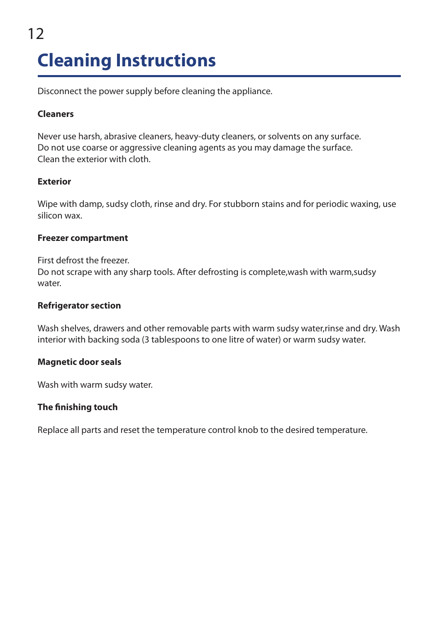### 12 **Cleaning Instructions**

Disconnect the power supply before cleaning the appliance.

#### **Cleaners**

Never use harsh, abrasive cleaners, heavy-duty cleaners, or solvents on any surface. Do not use coarse or aggressive cleaning agents as you may damage the surface. Clean the exterior with cloth.

#### **Exterior**

Wipe with damp, sudsy cloth, rinse and dry. For stubborn stains and for periodic waxing, use silicon wax.

#### **Freezer compartment**

First defrost the freezer. Do not scrape with any sharp tools. After defrosting is complete,wash with warm,sudsy water

#### **Refrigerator section**

Wash shelves, drawers and other removable parts with warm sudsy water,rinse and dry. Wash interior with backing soda (3 tablespoons to one litre of water) or warm sudsy water.

#### **Magnetic door seals**

Wash with warm sudsy water.

#### **The finishing touch**

Replace all parts and reset the temperature control knob to the desired temperature.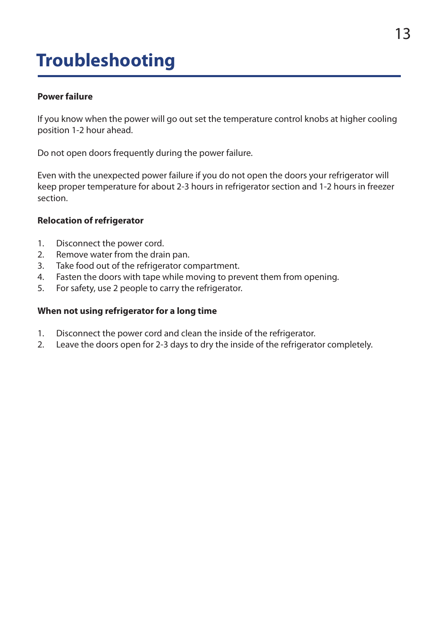### **Troubleshooting**

#### **Power failure**

If you know when the power will go out set the temperature control knobs at higher cooling position 1-2 hour ahead.

Do not open doors frequently during the power failure.

Even with the unexpected power failure if you do not open the doors your refrigerator will keep proper temperature for about 2-3 hours in refrigerator section and 1-2 hours in freezer section.

#### **Relocation of refrigerator**

- 1. Disconnect the power cord.
- 2. Remove water from the drain pan.
- 3. Take food out of the refrigerator compartment.
- 4. Fasten the doors with tape while moving to prevent them from opening.
- 5. For safety, use 2 people to carry the refrigerator.

#### **When not using refrigerator for a long time**

- 1. Disconnect the power cord and clean the inside of the refrigerator.
- 2. Leave the doors open for 2-3 days to dry the inside of the refrigerator completely.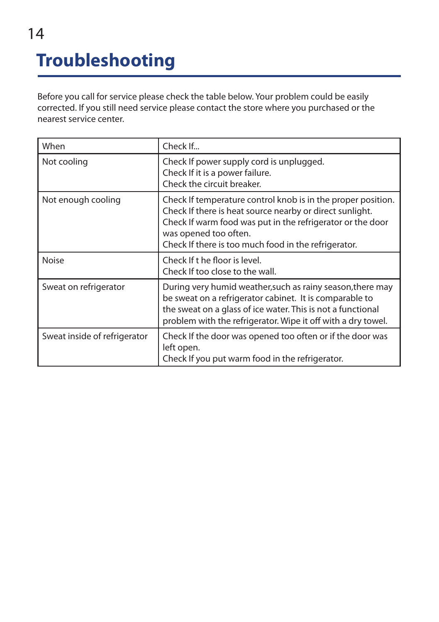## **Troubleshooting**

Before you call for service please check the table below. Your problem could be easily corrected. If you still need service please contact the store where you purchased or the nearest service center.

| When                         | Check If                                                                                                                                                                                                                                                                |
|------------------------------|-------------------------------------------------------------------------------------------------------------------------------------------------------------------------------------------------------------------------------------------------------------------------|
| Not cooling                  | Check If power supply cord is unplugged.<br>Check If it is a power failure.<br>Check the circuit breaker.                                                                                                                                                               |
| Not enough cooling           | Check If temperature control knob is in the proper position.<br>Check If there is heat source nearby or direct sunlight.<br>Check If warm food was put in the refrigerator or the door<br>was opened too often.<br>Check If there is too much food in the refrigerator. |
| <b>Noise</b>                 | Check If t he floor is level.<br>Check If too close to the wall.                                                                                                                                                                                                        |
| Sweat on refrigerator        | During very humid weather, such as rainy season, there may<br>be sweat on a refrigerator cabinet. It is comparable to<br>the sweat on a glass of ice water. This is not a functional<br>problem with the refrigerator. Wipe it off with a dry towel.                    |
| Sweat inside of refrigerator | Check If the door was opened too often or if the door was<br>left open.<br>Check If you put warm food in the refrigerator.                                                                                                                                              |